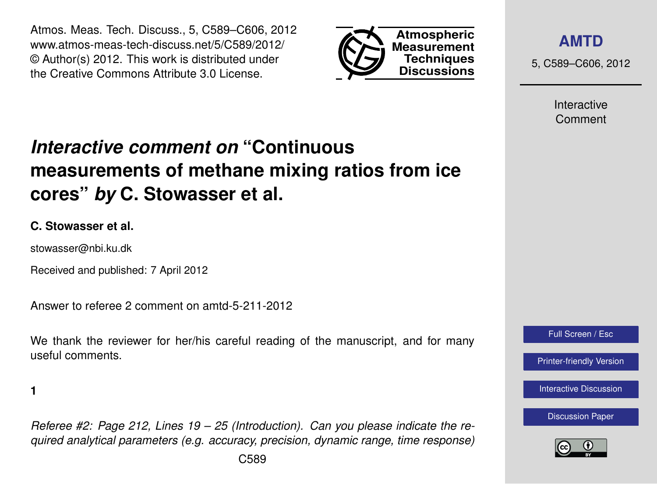Atmos. Meas. Tech. Discuss., 5, C589–C606, 2012 www.atmos-meas-tech-discuss.net/5/C589/2012/ © Author(s) 2012. This work is distributed under the Creative Commons Attribute 3.0 License.



**[AMTD](http://www.atmos-meas-tech-discuss.net)**

5, C589–C606, 2012

Interactive Comment

# *Interactive comment on* **"Continuous measurements of methane mixing ratios from ice cores"** *by* **C. Stowasser et al.**

## **C. Stowasser et al.**

stowasser@nbi.ku.dk

Received and published: 7 April 2012

Answer to referee 2 comment on amtd-5-211-2012

We thank the reviewer for her/his careful reading of the manuscript, and for many useful comments.

**1**

*Referee #2: Page 212, Lines 19 – 25 (Introduction). Can you please indicate the required analytical parameters (e.g. accuracy, precision, dynamic range, time response)*



[Printer-friendly Version](http://www.atmos-meas-tech-discuss.net/5/C589/2012/amtd-5-C589-2012-print.pdf)

[Interactive Discussion](http://www.atmos-meas-tech-discuss.net/5/211/2012/amtd-5-211-2012-discussion.html)

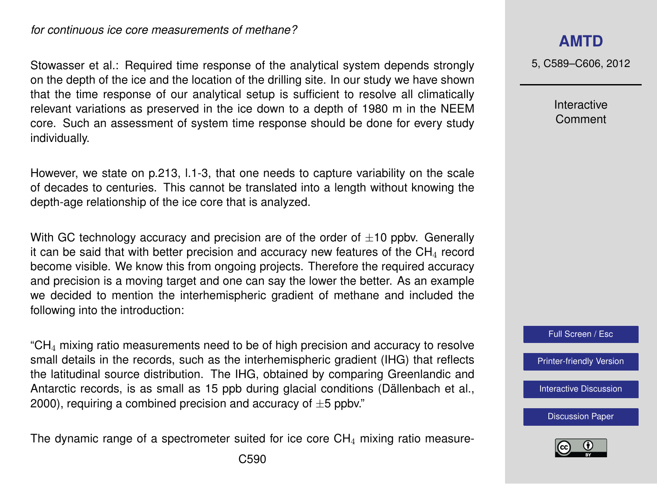*for continuous ice core measurements of methane?*

Stowasser et al.: Required time response of the analytical system depends strongly on the depth of the ice and the location of the drilling site. In our study we have shown that the time response of our analytical setup is sufficient to resolve all climatically relevant variations as preserved in the ice down to a depth of 1980 m in the NEEM core. Such an assessment of system time response should be done for every study individually.

However, we state on p.213, l.1-3, that one needs to capture variability on the scale of decades to centuries. This cannot be translated into a length without knowing the depth-age relationship of the ice core that is analyzed.

With GC technology accuracy and precision are of the order of  $\pm 10$  ppbv. Generally it can be said that with better precision and accuracy new features of the  $CH<sub>4</sub>$  record become visible. We know this from ongoing projects. Therefore the required accuracy and precision is a moving target and one can say the lower the better. As an example we decided to mention the interhemispheric gradient of methane and included the following into the introduction:

 $C_{\text{H}_{4}}$  mixing ratio measurements need to be of high precision and accuracy to resolve small details in the records, such as the interhemispheric gradient (IHG) that reflects the latitudinal source distribution. The IHG, obtained by comparing Greenlandic and Antarctic records, is as small as 15 ppb during glacial conditions (Dällenbach et al., 2000), requiring a combined precision and accuracy of  $\pm 5$  ppbv."

The dynamic range of a spectrometer suited for ice core  $CH<sub>4</sub>$  mixing ratio measure-

5, C589–C606, 2012

Interactive Comment



[Printer-friendly Version](http://www.atmos-meas-tech-discuss.net/5/C589/2012/amtd-5-C589-2012-print.pdf)

[Interactive Discussion](http://www.atmos-meas-tech-discuss.net/5/211/2012/amtd-5-211-2012-discussion.html)

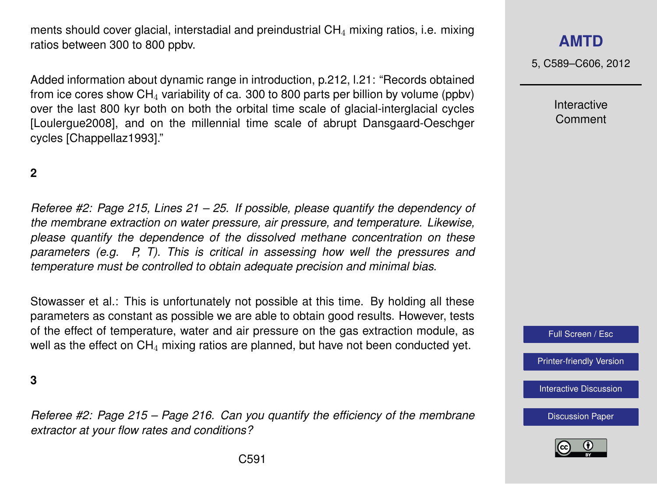ments should cover glacial, interstadial and preindustrial  $CH<sub>4</sub>$  mixing ratios, i.e. mixing ratios between 300 to 800 ppbv.

Added information about dynamic range in introduction, p.212, l.21: "Records obtained from ice cores show  $CH<sub>4</sub>$  variability of ca. 300 to 800 parts per billion by volume (ppbv) over the last 800 kyr both on both the orbital time scale of glacial-interglacial cycles [Loulergue2008], and on the millennial time scale of abrupt Dansgaard-Oeschger cycles [Chappellaz1993]."

## **2**

*Referee #2: Page 215, Lines 21 – 25. If possible, please quantify the dependency of the membrane extraction on water pressure, air pressure, and temperature. Likewise, please quantify the dependence of the dissolved methane concentration on these parameters (e.g. P, T). This is critical in assessing how well the pressures and temperature must be controlled to obtain adequate precision and minimal bias.*

Stowasser et al.: This is unfortunately not possible at this time. By holding all these parameters as constant as possible we are able to obtain good results. However, tests of the effect of temperature, water and air pressure on the gas extraction module, as well as the effect on  $CH_4$  mixing ratios are planned, but have not been conducted yet.

**3**

*Referee #2: Page 215 – Page 216. Can you quantify the efficiency of the membrane extractor at your flow rates and conditions?*

# **[AMTD](http://www.atmos-meas-tech-discuss.net)**

5, C589–C606, 2012

Interactive Comment



[Printer-friendly Version](http://www.atmos-meas-tech-discuss.net/5/C589/2012/amtd-5-C589-2012-print.pdf)

[Interactive Discussion](http://www.atmos-meas-tech-discuss.net/5/211/2012/amtd-5-211-2012-discussion.html)

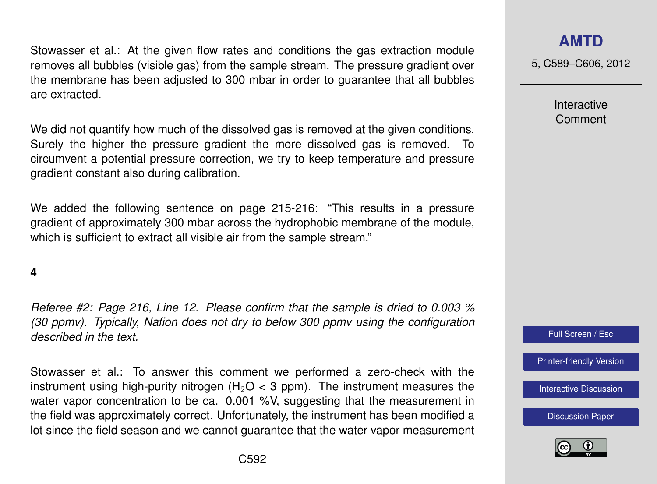Stowasser et al.: At the given flow rates and conditions the gas extraction module removes all bubbles (visible gas) from the sample stream. The pressure gradient over the membrane has been adjusted to 300 mbar in order to guarantee that all bubbles are extracted.

We did not quantify how much of the dissolved gas is removed at the given conditions. Surely the higher the pressure gradient the more dissolved gas is removed. To circumvent a potential pressure correction, we try to keep temperature and pressure gradient constant also during calibration.

We added the following sentence on page 215-216: "This results in a pressure gradient of approximately 300 mbar across the hydrophobic membrane of the module, which is sufficient to extract all visible air from the sample stream."

## **4**

*Referee #2: Page 216, Line 12. Please confirm that the sample is dried to 0.003 % (30 ppmv). Typically, Nafion does not dry to below 300 ppmv using the configuration described in the text.*

Stowasser et al.: To answer this comment we performed a zero-check with the instrument using high-purity nitrogen (H<sub>2</sub>O  $<$  3 ppm). The instrument measures the water vapor concentration to be ca. 0.001 %V, suggesting that the measurement in the field was approximately correct. Unfortunately, the instrument has been modified a lot since the field season and we cannot guarantee that the water vapor measurement

## **[AMTD](http://www.atmos-meas-tech-discuss.net)**

5, C589–C606, 2012

Interactive Comment



[Printer-friendly Version](http://www.atmos-meas-tech-discuss.net/5/C589/2012/amtd-5-C589-2012-print.pdf)

[Interactive Discussion](http://www.atmos-meas-tech-discuss.net/5/211/2012/amtd-5-211-2012-discussion.html)

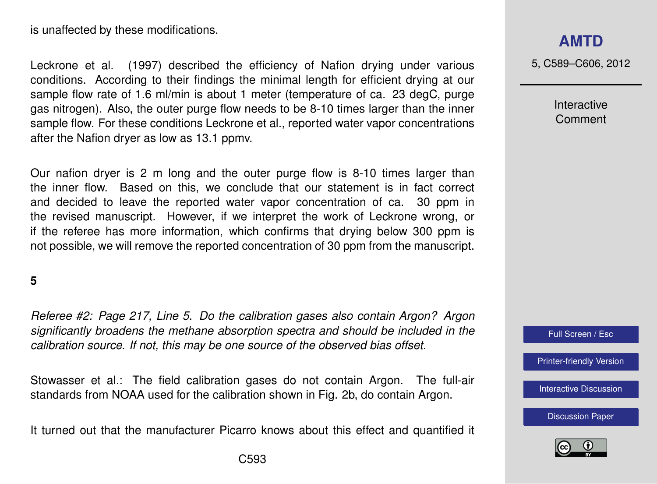is unaffected by these modifications.

Leckrone et al. (1997) described the efficiency of Nafion drying under various conditions. According to their findings the minimal length for efficient drying at our sample flow rate of 1.6 ml/min is about 1 meter (temperature of ca. 23 degC, purge gas nitrogen). Also, the outer purge flow needs to be 8-10 times larger than the inner sample flow. For these conditions Leckrone et al., reported water vapor concentrations after the Nafion dryer as low as 13.1 ppmv.

Our nafion dryer is 2 m long and the outer purge flow is 8-10 times larger than the inner flow. Based on this, we conclude that our statement is in fact correct and decided to leave the reported water vapor concentration of ca. 30 ppm in the revised manuscript. However, if we interpret the work of Leckrone wrong, or if the referee has more information, which confirms that drying below 300 ppm is not possible, we will remove the reported concentration of 30 ppm from the manuscript.

### **5**

*Referee #2: Page 217, Line 5. Do the calibration gases also contain Argon? Argon significantly broadens the methane absorption spectra and should be included in the calibration source. If not, this may be one source of the observed bias offset.*

Stowasser et al.: The field calibration gases do not contain Argon. The full-air standards from NOAA used for the calibration shown in Fig. 2b, do contain Argon.

It turned out that the manufacturer Picarro knows about this effect and quantified it

5, C589–C606, 2012

Interactive Comment



[Printer-friendly Version](http://www.atmos-meas-tech-discuss.net/5/C589/2012/amtd-5-C589-2012-print.pdf)

[Interactive Discussion](http://www.atmos-meas-tech-discuss.net/5/211/2012/amtd-5-211-2012-discussion.html)

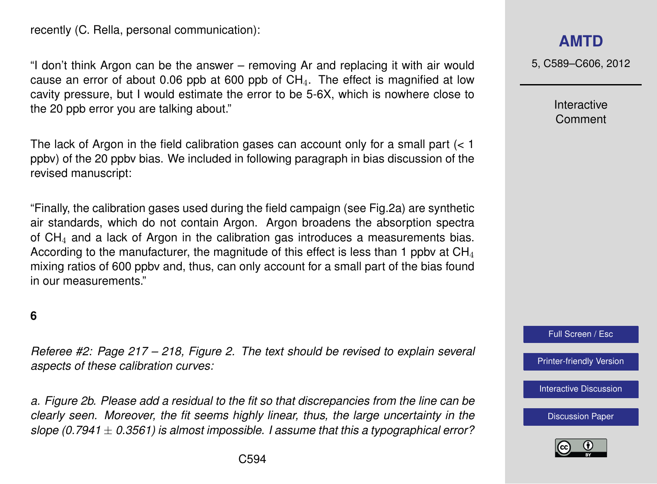recently (C. Rella, personal communication):

"I don't think Argon can be the answer – removing Ar and replacing it with air would cause an error of about 0.06 ppb at 600 ppb of  $CH<sub>4</sub>$ . The effect is magnified at low cavity pressure, but I would estimate the error to be 5-6X, which is nowhere close to the 20 ppb error you are talking about."

The lack of Argon in the field calibration gases can account only for a small part  $( $1$$ ppbv) of the 20 ppbv bias. We included in following paragraph in bias discussion of the revised manuscript:

"Finally, the calibration gases used during the field campaign (see Fig.2a) are synthetic air standards, which do not contain Argon. Argon broadens the absorption spectra of  $CH<sub>4</sub>$  and a lack of Argon in the calibration gas introduces a measurements bias. According to the manufacturer, the magnitude of this effect is less than 1 ppby at  $CH<sub>4</sub>$ mixing ratios of 600 ppbv and, thus, can only account for a small part of the bias found in our measurements."

#### **6**

*Referee #2: Page 217 – 218, Figure 2. The text should be revised to explain several aspects of these calibration curves:*

*a. Figure 2b. Please add a residual to the fit so that discrepancies from the line can be clearly seen. Moreover, the fit seems highly linear, thus, the large uncertainty in the slope (0.7941* ± *0.3561) is almost impossible. I assume that this a typographical error?*

5, C589–C606, 2012

Interactive Comment



[Printer-friendly Version](http://www.atmos-meas-tech-discuss.net/5/C589/2012/amtd-5-C589-2012-print.pdf)

[Interactive Discussion](http://www.atmos-meas-tech-discuss.net/5/211/2012/amtd-5-211-2012-discussion.html)

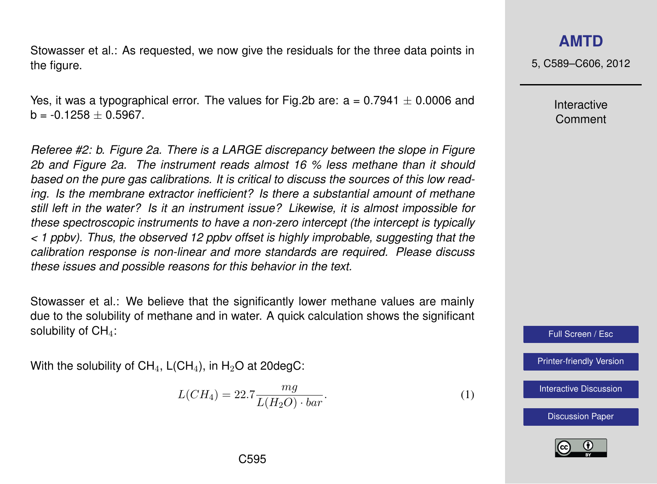Stowasser et al.: As requested, we now give the residuals for the three data points in the figure.

Yes, it was a typographical error. The values for Fig.2b are:  $a = 0.7941 \pm 0.0006$  and  $b = -0.1258 + 0.5967$ .

*Referee #2: b. Figure 2a. There is a LARGE discrepancy between the slope in Figure 2b and Figure 2a. The instrument reads almost 16 % less methane than it should based on the pure gas calibrations. It is critical to discuss the sources of this low reading. Is the membrane extractor inefficient? Is there a substantial amount of methane still left in the water? Is it an instrument issue? Likewise, it is almost impossible for these spectroscopic instruments to have a non-zero intercept (the intercept is typically < 1 ppbv). Thus, the observed 12 ppbv offset is highly improbable, suggesting that the calibration response is non-linear and more standards are required. Please discuss these issues and possible reasons for this behavior in the text.*

Stowasser et al.: We believe that the significantly lower methane values are mainly due to the solubility of methane and in water. A quick calculation shows the significant solubility of  $CH<sub>4</sub>$ :

With the solubility of  $CH_4$ , L(CH<sub>4</sub>), in H<sub>2</sub>O at 20degC:

$$
L(CH_4) = 22.7 \frac{mg}{L(H_2O) \cdot bar}.\tag{1}
$$

**[AMTD](http://www.atmos-meas-tech-discuss.net)**

5, C589–C606, 2012

Interactive Comment

Full Screen / Esc

[Printer-friendly Version](http://www.atmos-meas-tech-discuss.net/5/C589/2012/amtd-5-C589-2012-print.pdf)

[Interactive Discussion](http://www.atmos-meas-tech-discuss.net/5/211/2012/amtd-5-211-2012-discussion.html)

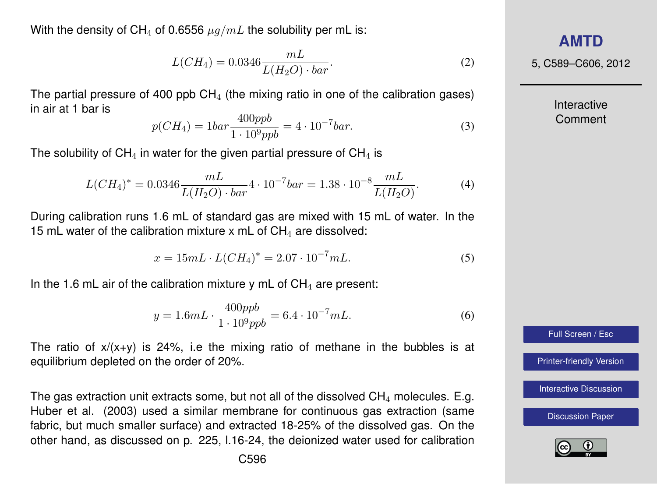With the density of CH<sub>4</sub> of 0.6556  $\mu q/mL$  the solubility per mL is:

$$
L(CH_4) = 0.0346 \frac{mL}{L(H_2O) \cdot bar}.
$$
 (2)

The partial pressure of 400 ppb  $CH<sub>4</sub>$  (the mixing ratio in one of the calibration gases) in air at 1 bar is

$$
p(CH_4) = 1bar \frac{400ppb}{1 \cdot 10^9 ppb} = 4 \cdot 10^{-7} bar.
$$
 (3)

The solubility of  $CH_4$  in water for the given partial pressure of  $CH_4$  is

$$
L(CH_4)^* = 0.0346 \frac{mL}{L(H_2O) \cdot bar} 4 \cdot 10^{-7} bar = 1.38 \cdot 10^{-8} \frac{mL}{L(H_2O)}.
$$
 (4)

During calibration runs 1.6 mL of standard gas are mixed with 15 mL of water. In the 15 mL water of the calibration mixture x mL of  $CH<sub>4</sub>$  are dissolved:

$$
x = 15mL \cdot L(CH_4)^* = 2.07 \cdot 10^{-7} mL. \tag{5}
$$

In the 1.6 mL air of the calibration mixture y mL of  $CH<sub>4</sub>$  are present:

$$
y = 1.6mL \cdot \frac{400ppb}{1 \cdot 10^9 ppb} = 6.4 \cdot 10^{-7} mL. \tag{6}
$$

The ratio of  $x/(x+y)$  is 24%, i.e the mixing ratio of methane in the bubbles is at equilibrium depleted on the order of 20%.

The gas extraction unit extracts some, but not all of the dissolved  $CH<sub>4</sub>$  molecules. E.g. Huber et al. (2003) used a similar membrane for continuous gas extraction (same fabric, but much smaller surface) and extracted 18-25% of the dissolved gas. On the other hand, as discussed on p. 225, l.16-24, the deionized water used for calibration

# **[AMTD](http://www.atmos-meas-tech-discuss.net)**

5, C589–C606, 2012

Interactive Comment



[Printer-friendly Version](http://www.atmos-meas-tech-discuss.net/5/C589/2012/amtd-5-C589-2012-print.pdf)

[Interactive Discussion](http://www.atmos-meas-tech-discuss.net/5/211/2012/amtd-5-211-2012-discussion.html)

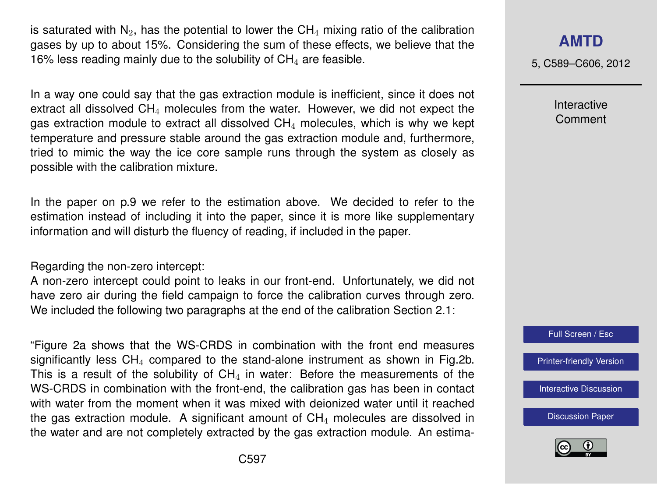is saturated with  $N_2$ , has the potential to lower the CH<sub>4</sub> mixing ratio of the calibration gases by up to about 15%. Considering the sum of these effects, we believe that the 16% less reading mainly due to the solubility of  $CH<sub>4</sub>$  are feasible.

In a way one could say that the gas extraction module is inefficient, since it does not extract all dissolved  $CH<sub>4</sub>$  molecules from the water. However, we did not expect the gas extraction module to extract all dissolved  $CH<sub>4</sub>$  molecules, which is why we kept temperature and pressure stable around the gas extraction module and, furthermore, tried to mimic the way the ice core sample runs through the system as closely as possible with the calibration mixture.

In the paper on p.9 we refer to the estimation above. We decided to refer to the estimation instead of including it into the paper, since it is more like supplementary information and will disturb the fluency of reading, if included in the paper.

Regarding the non-zero intercept:

A non-zero intercept could point to leaks in our front-end. Unfortunately, we did not have zero air during the field campaign to force the calibration curves through zero. We included the following two paragraphs at the end of the calibration Section 2.1:

"Figure 2a shows that the WS-CRDS in combination with the front end measures significantly less  $CH_4$  compared to the stand-alone instrument as shown in Fig.2b. This is a result of the solubility of  $CH<sub>4</sub>$  in water: Before the measurements of the WS-CRDS in combination with the front-end, the calibration gas has been in contact with water from the moment when it was mixed with deionized water until it reached the gas extraction module. A significant amount of  $CH<sub>4</sub>$  molecules are dissolved in the water and are not completely extracted by the gas extraction module. An estima-

# **[AMTD](http://www.atmos-meas-tech-discuss.net)**

5, C589–C606, 2012

Interactive Comment



[Printer-friendly Version](http://www.atmos-meas-tech-discuss.net/5/C589/2012/amtd-5-C589-2012-print.pdf)

[Interactive Discussion](http://www.atmos-meas-tech-discuss.net/5/211/2012/amtd-5-211-2012-discussion.html)

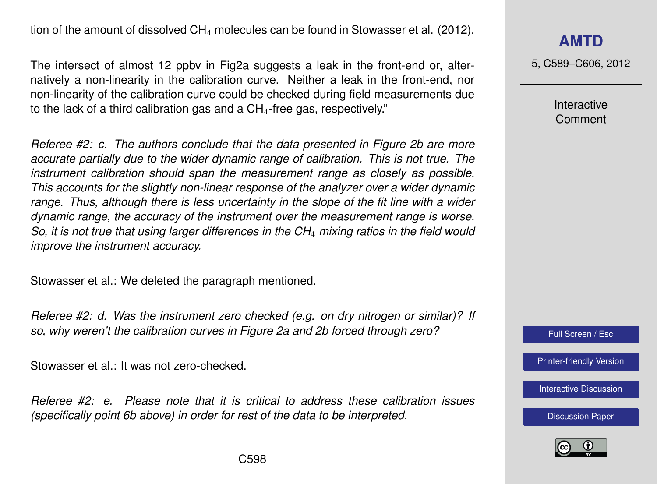tion of the amount of dissolved  $CH_4$  molecules can be found in Stowasser et al. (2012).

The intersect of almost 12 ppbv in Fig2a suggests a leak in the front-end or, alternatively a non-linearity in the calibration curve. Neither a leak in the front-end, nor non-linearity of the calibration curve could be checked during field measurements due to the lack of a third calibration gas and a  $CH<sub>4</sub>$ -free gas, respectively."

*Referee #2: c. The authors conclude that the data presented in Figure 2b are more accurate partially due to the wider dynamic range of calibration. This is not true. The instrument calibration should span the measurement range as closely as possible. This accounts for the slightly non-linear response of the analyzer over a wider dynamic range. Thus, although there is less uncertainty in the slope of the fit line with a wider dynamic range, the accuracy of the instrument over the measurement range is worse. So, it is not true that using larger differences in the CH*<sup>4</sup> *mixing ratios in the field would improve the instrument accuracy.*

Stowasser et al.: We deleted the paragraph mentioned.

*Referee #2: d. Was the instrument zero checked (e.g. on dry nitrogen or similar)? If so, why weren't the calibration curves in Figure 2a and 2b forced through zero?*

Stowasser et al.: It was not zero-checked.

*Referee #2: e. Please note that it is critical to address these calibration issues (specifically point 6b above) in order for rest of the data to be interpreted.*

# **[AMTD](http://www.atmos-meas-tech-discuss.net)**

5, C589–C606, 2012

Interactive Comment



[Printer-friendly Version](http://www.atmos-meas-tech-discuss.net/5/C589/2012/amtd-5-C589-2012-print.pdf)

[Interactive Discussion](http://www.atmos-meas-tech-discuss.net/5/211/2012/amtd-5-211-2012-discussion.html)

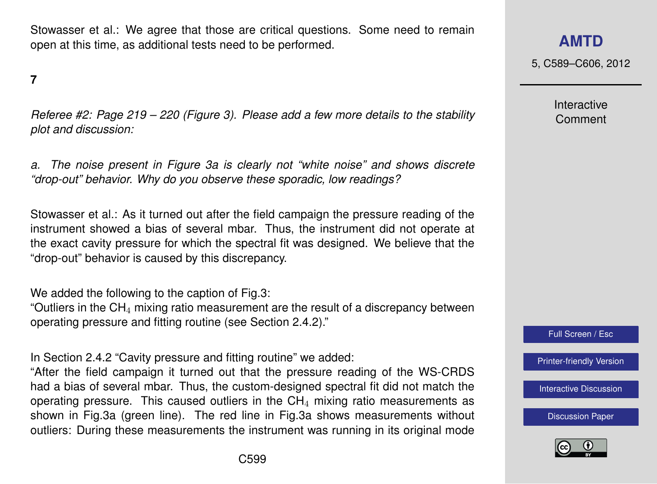Stowasser et al.: We agree that those are critical questions. Some need to remain open at this time, as additional tests need to be performed.

**7**

*Referee #2: Page 219 – 220 (Figure 3). Please add a few more details to the stability plot and discussion:*

*a. The noise present in Figure 3a is clearly not "white noise" and shows discrete "drop-out" behavior. Why do you observe these sporadic, low readings?*

Stowasser et al.: As it turned out after the field campaign the pressure reading of the instrument showed a bias of several mbar. Thus, the instrument did not operate at the exact cavity pressure for which the spectral fit was designed. We believe that the "drop-out" behavior is caused by this discrepancy.

We added the following to the caption of Fig.3:

"Outliers in the  $CH<sub>4</sub>$  mixing ratio measurement are the result of a discrepancy between operating pressure and fitting routine (see Section 2.4.2)."

In Section 2.4.2 "Cavity pressure and fitting routine" we added:

"After the field campaign it turned out that the pressure reading of the WS-CRDS had a bias of several mbar. Thus, the custom-designed spectral fit did not match the operating pressure. This caused outliers in the  $CH<sub>4</sub>$  mixing ratio measurements as shown in Fig.3a (green line). The red line in Fig.3a shows measurements without outliers: During these measurements the instrument was running in its original mode 5, C589–C606, 2012

Interactive Comment



[Printer-friendly Version](http://www.atmos-meas-tech-discuss.net/5/C589/2012/amtd-5-C589-2012-print.pdf)

[Interactive Discussion](http://www.atmos-meas-tech-discuss.net/5/211/2012/amtd-5-211-2012-discussion.html)

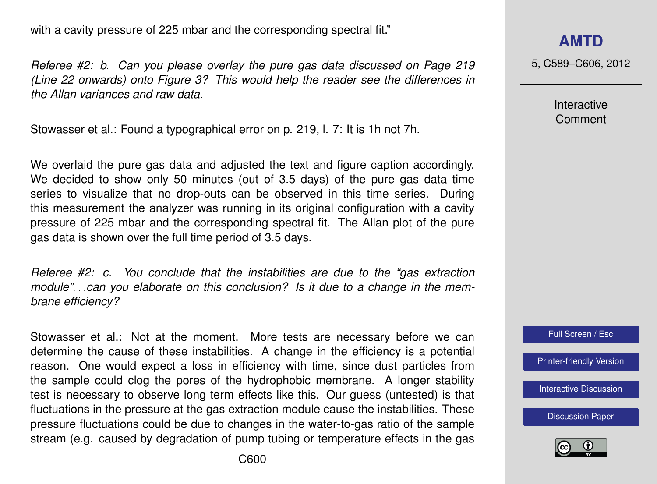with a cavity pressure of 225 mbar and the corresponding spectral fit."

*Referee #2: b. Can you please overlay the pure gas data discussed on Page 219 (Line 22 onwards) onto Figure 3? This would help the reader see the differences in the Allan variances and raw data.*

Stowasser et al.: Found a typographical error on p. 219, l. 7: It is 1h not 7h.

We overlaid the pure gas data and adjusted the text and figure caption accordingly. We decided to show only 50 minutes (out of 3.5 days) of the pure gas data time series to visualize that no drop-outs can be observed in this time series. During this measurement the analyzer was running in its original configuration with a cavity pressure of 225 mbar and the corresponding spectral fit. The Allan plot of the pure gas data is shown over the full time period of 3.5 days.

*Referee #2: c. You conclude that the instabilities are due to the "gas extraction module"*. . .*can you elaborate on this conclusion? Is it due to a change in the membrane efficiency?*

Stowasser et al.: Not at the moment. More tests are necessary before we can determine the cause of these instabilities. A change in the efficiency is a potential reason. One would expect a loss in efficiency with time, since dust particles from the sample could clog the pores of the hydrophobic membrane. A longer stability test is necessary to observe long term effects like this. Our guess (untested) is that fluctuations in the pressure at the gas extraction module cause the instabilities. These pressure fluctuations could be due to changes in the water-to-gas ratio of the sample stream (e.g. caused by degradation of pump tubing or temperature effects in the gas

5, C589–C606, 2012

Interactive Comment



[Printer-friendly Version](http://www.atmos-meas-tech-discuss.net/5/C589/2012/amtd-5-C589-2012-print.pdf)

[Interactive Discussion](http://www.atmos-meas-tech-discuss.net/5/211/2012/amtd-5-211-2012-discussion.html)

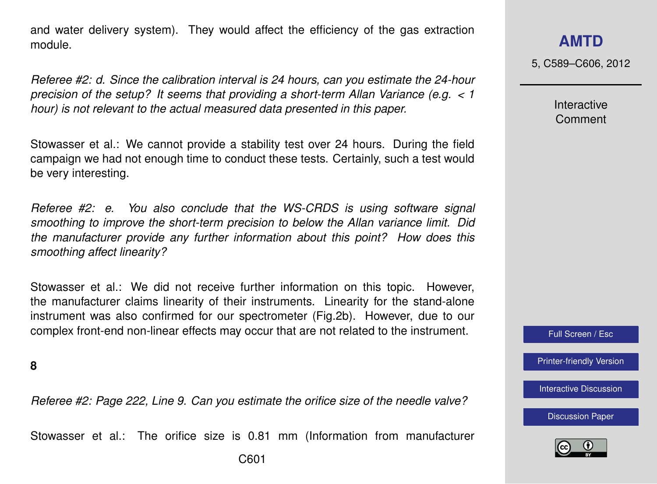and water delivery system). They would affect the efficiency of the gas extraction module.

*Referee #2: d. Since the calibration interval is 24 hours, can you estimate the 24-hour precision of the setup? It seems that providing a short-term Allan Variance (e.g. < 1 hour) is not relevant to the actual measured data presented in this paper.*

Stowasser et al.: We cannot provide a stability test over 24 hours. During the field campaign we had not enough time to conduct these tests. Certainly, such a test would be very interesting.

*Referee #2: e. You also conclude that the WS-CRDS is using software signal smoothing to improve the short-term precision to below the Allan variance limit. Did the manufacturer provide any further information about this point? How does this smoothing affect linearity?*

Stowasser et al.: We did not receive further information on this topic. However, the manufacturer claims linearity of their instruments. Linearity for the stand-alone instrument was also confirmed for our spectrometer (Fig.2b). However, due to our complex front-end non-linear effects may occur that are not related to the instrument.

**8**

*Referee #2: Page 222, Line 9. Can you estimate the orifice size of the needle valve?*

Stowasser et al.: The orifice size is 0.81 mm (Information from manufacturer

5, C589–C606, 2012

Interactive Comment

Full Screen / Esc

[Printer-friendly Version](http://www.atmos-meas-tech-discuss.net/5/C589/2012/amtd-5-C589-2012-print.pdf)

[Interactive Discussion](http://www.atmos-meas-tech-discuss.net/5/211/2012/amtd-5-211-2012-discussion.html)

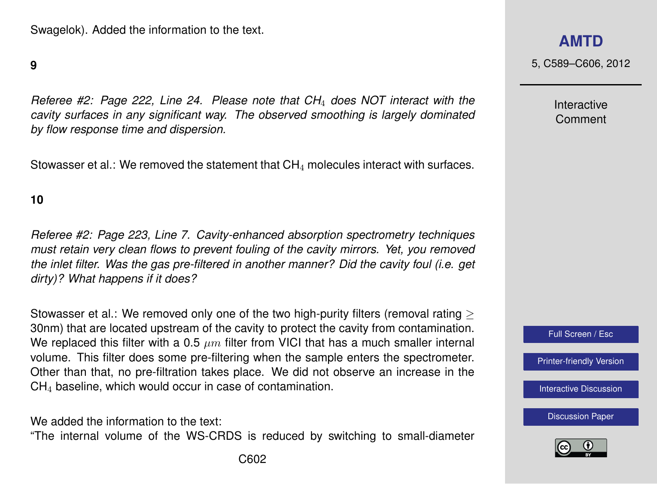### **9**

*Referee #2: Page 222, Line 24. Please note that CH*<sup>4</sup> *does NOT interact with the cavity surfaces in any significant way. The observed smoothing is largely dominated by flow response time and dispersion.*

Stowasser et al.: We removed the statement that  $CH<sub>4</sub>$  molecules interact with surfaces.

#### **10**

*Referee #2: Page 223, Line 7. Cavity-enhanced absorption spectrometry techniques must retain very clean flows to prevent fouling of the cavity mirrors. Yet, you removed the inlet filter. Was the gas pre-filtered in another manner? Did the cavity foul (i.e. get dirty)? What happens if it does?*

Stowasser et al.: We removed only one of the two high-purity filters (removal rating > 30nm) that are located upstream of the cavity to protect the cavity from contamination. We replaced this filter with a 0.5  $\mu$ m filter from VICI that has a much smaller internal volume. This filter does some pre-filtering when the sample enters the spectrometer. Other than that, no pre-filtration takes place. We did not observe an increase in the CH<sup>4</sup> baseline, which would occur in case of contamination.

We added the information to the text:

"The internal volume of the WS-CRDS is reduced by switching to small-diameter

5, C589–C606, 2012

Interactive Comment



[Printer-friendly Version](http://www.atmos-meas-tech-discuss.net/5/C589/2012/amtd-5-C589-2012-print.pdf)

[Interactive Discussion](http://www.atmos-meas-tech-discuss.net/5/211/2012/amtd-5-211-2012-discussion.html)

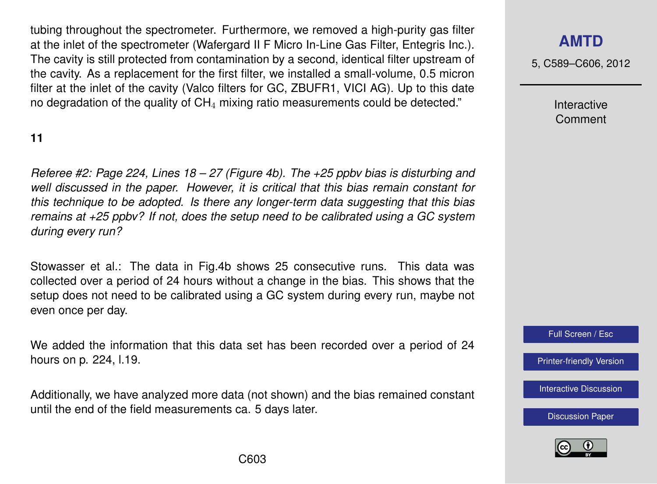tubing throughout the spectrometer. Furthermore, we removed a high-purity gas filter at the inlet of the spectrometer (Wafergard II F Micro In-Line Gas Filter, Entegris Inc.). The cavity is still protected from contamination by a second, identical filter upstream of the cavity. As a replacement for the first filter, we installed a small-volume, 0.5 micron filter at the inlet of the cavity (Valco filters for GC, ZBUFR1, VICI AG). Up to this date no degradation of the quality of  $CH<sub>4</sub>$  mixing ratio measurements could be detected."

## **11**

*Referee #2: Page 224, Lines 18 – 27 (Figure 4b). The +25 ppbv bias is disturbing and well discussed in the paper. However, it is critical that this bias remain constant for this technique to be adopted. Is there any longer-term data suggesting that this bias remains at +25 ppbv? If not, does the setup need to be calibrated using a GC system during every run?*

Stowasser et al.: The data in Fig.4b shows 25 consecutive runs. This data was collected over a period of 24 hours without a change in the bias. This shows that the setup does not need to be calibrated using a GC system during every run, maybe not even once per day.

We added the information that this data set has been recorded over a period of 24 hours on p. 224, l.19.

Additionally, we have analyzed more data (not shown) and the bias remained constant until the end of the field measurements ca. 5 days later.

# **[AMTD](http://www.atmos-meas-tech-discuss.net)**

5, C589–C606, 2012

Interactive Comment

Full Screen / Esc

[Printer-friendly Version](http://www.atmos-meas-tech-discuss.net/5/C589/2012/amtd-5-C589-2012-print.pdf)

[Interactive Discussion](http://www.atmos-meas-tech-discuss.net/5/211/2012/amtd-5-211-2012-discussion.html)

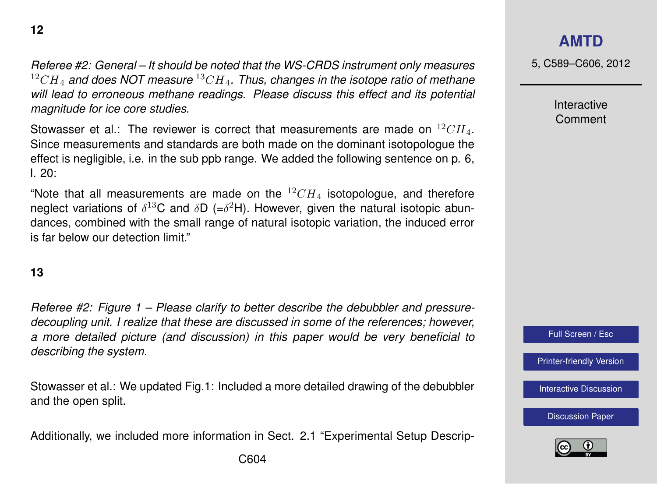*Referee #2: General – It should be noted that the WS-CRDS instrument only measures* <sup>12</sup>CH<sup>4</sup> *and does NOT measure* <sup>13</sup>CH4*. Thus, changes in the isotope ratio of methane will lead to erroneous methane readings. Please discuss this effect and its potential magnitude for ice core studies.*

Stowasser et al.: The reviewer is correct that measurements are made on  $^{12}CH_4$ . Since measurements and standards are both made on the dominant isotopologue the effect is negligible, i.e. in the sub ppb range. We added the following sentence on p. 6,  $\pm 20$ :

"Note that all measurements are made on the  ${}^{12}CH_4$  isotopologue, and therefore neglect variations of  $\delta^{13}$ C and  $\delta$ D (= $\delta^2$ H). However, given the natural isotopic abundances, combined with the small range of natural isotopic variation, the induced error is far below our detection limit."

### **13**

*Referee #2: Figure 1 – Please clarify to better describe the debubbler and pressuredecoupling unit. I realize that these are discussed in some of the references; however, a more detailed picture (and discussion) in this paper would be very beneficial to describing the system.*

Stowasser et al.: We updated Fig.1: Included a more detailed drawing of the debubbler and the open split.

Additionally, we included more information in Sect. 2.1 "Experimental Setup Descrip-

## **[AMTD](http://www.atmos-meas-tech-discuss.net)**

5, C589–C606, 2012

Interactive Comment



[Printer-friendly Version](http://www.atmos-meas-tech-discuss.net/5/C589/2012/amtd-5-C589-2012-print.pdf)

[Interactive Discussion](http://www.atmos-meas-tech-discuss.net/5/211/2012/amtd-5-211-2012-discussion.html)

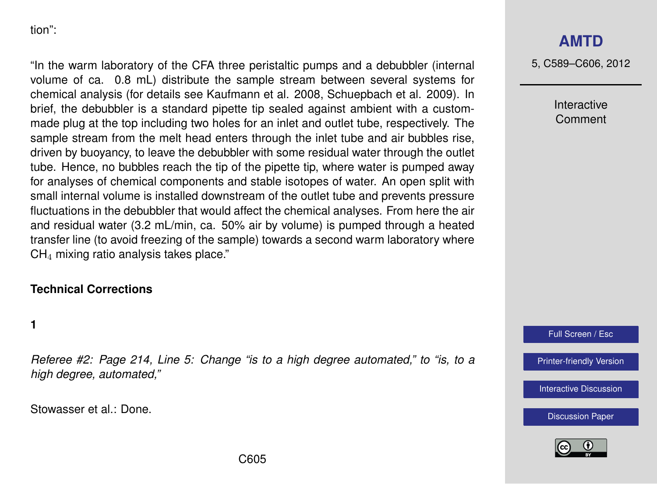tion":

"In the warm laboratory of the CFA three peristaltic pumps and a debubbler (internal volume of ca. 0.8 mL) distribute the sample stream between several systems for chemical analysis (for details see Kaufmann et al. 2008, Schuepbach et al. 2009). In brief, the debubbler is a standard pipette tip sealed against ambient with a custommade plug at the top including two holes for an inlet and outlet tube, respectively. The sample stream from the melt head enters through the inlet tube and air bubbles rise, driven by buoyancy, to leave the debubbler with some residual water through the outlet tube. Hence, no bubbles reach the tip of the pipette tip, where water is pumped away for analyses of chemical components and stable isotopes of water. An open split with small internal volume is installed downstream of the outlet tube and prevents pressure fluctuations in the debubbler that would affect the chemical analyses. From here the air and residual water (3.2 mL/min, ca. 50% air by volume) is pumped through a heated transfer line (to avoid freezing of the sample) towards a second warm laboratory where CH<sup>4</sup> mixing ratio analysis takes place."

## **Technical Corrections**

**1**

*Referee #2: Page 214, Line 5: Change "is to a high degree automated," to "is, to a high degree, automated,"*

Stowasser et al.: Done.

# **[AMTD](http://www.atmos-meas-tech-discuss.net)**

5, C589–C606, 2012

Interactive Comment

Full Screen / Esc

[Printer-friendly Version](http://www.atmos-meas-tech-discuss.net/5/C589/2012/amtd-5-C589-2012-print.pdf)

[Interactive Discussion](http://www.atmos-meas-tech-discuss.net/5/211/2012/amtd-5-211-2012-discussion.html)